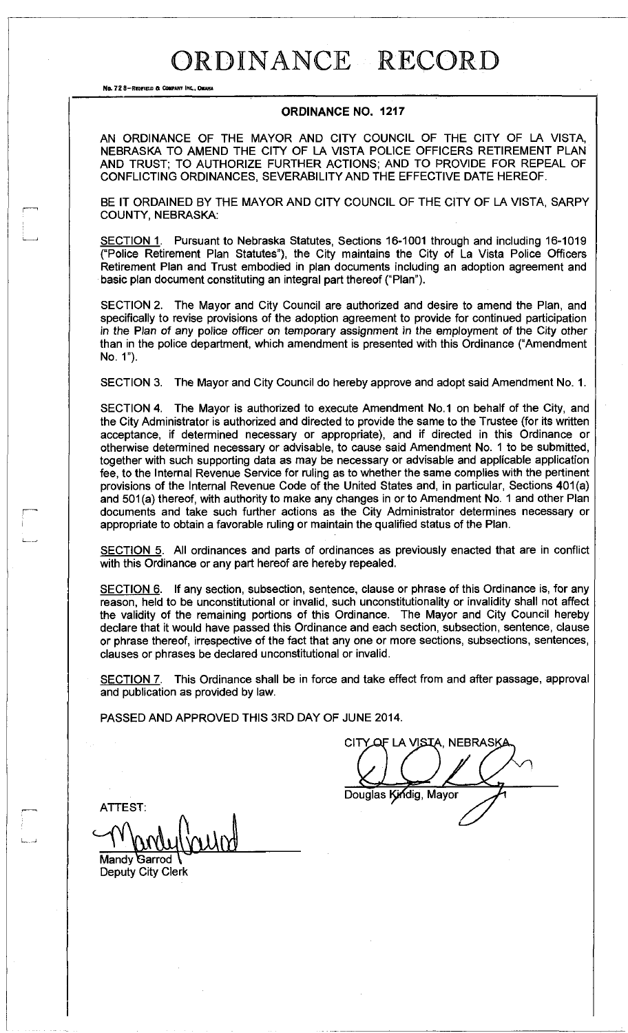No. 72 8-Reofield & Company Inc., OMAHA

### **ORDINANCE NO. 1217**

AN ORDINANCE OF THE MAYOR AND CITY COUNCIL OF THE CITY OF LA VISTA, NEBRASKA TO AMEND THE CITY OF LA VISTA POLICE OFFICERS RETIREMENT PLAN AND TRUST; TO AUTHORIZE FURTHER ACTIONS; AND TO PROVIDE FOR REPEAL OF CONFLICTING ORDINANCES, SEVERABILITY AND THE EFFECTIVE DATE HEREOF.

BE IT ORDAINED BY THE MAYOR AND CITY COUNCIL OF THE CITY OF LA VISTA, SARPY COUNTY, NEBRASKA:

SECTION 1. Pursuant to Nebraska Statutes, Sections 16-1001 through and including 16-1019 ("Police Retirement Plan Statutes"), the City maintains the City of La Vista Police Officers Retirement Plan and Trust embodied in plan documents including an adoption agreement and basic plan document constituting an integral part thereof ("Plan").

SECTION 2. The Mayor and City Council are authorized and desire to amend the Plan, and specifically to revise provisions of the adoption agreement to provide for continued participation in the Plan of any police officer on temporary assignment in the employment of the City other than in the police department, which amendment is presented with this Ordinance ("Amendment No. 1").

SECTION 3. The Mayor and City Council do hereby approve and adopt said Amendment No. 1.

SECTION 4. The Mayor is authorized to execute Amendment No.1 on behalf of the City, and the City Administrator is authorized and directed to provide the same to the Trustee (for its written acceptance, if determined necessary or appropriate), and if directed in this Ordinance or otherwise determined necessary or advisable, to cause said Amendment No. 1 to be submitted, together with such supporting data as may be necessary or advisable and applicable application fee, to the Internal Revenue Service for ruling as to whether the same complies with the pertinent provisions of the Internal Revenue Code of the United States and, in particular, Sections 401(a) and 501(a) thereof, with authority to make any changes in or to Amendment No. 1 and other Plan documents and take such further actions as the City Administrator determines necessary or appropriate to obtain a favorable ruling or maintain the qualified status of the Plan.

SECTION 5. All ordinances and parts of ordinances as previously enacted that are in conflict with this Ordinance or any part hereof are hereby repealed.

SECTION 6. If any section, subsection, sentence, clause or phrase of this Ordinance is, for any reason, held to be unconstitutional or invalid, such unconstitutionality or invalidity shall not affect the validity of the remaining portions of this Ordinance. The Mayor and City Council hereby declare that it would have passed this Ordinance and each section, subsection, sentence, clause or phrase thereof, irrespective of the fact that any one or more sections, subsections, sentences, clauses or phrases be declared unconstitutional or invalid.

SECTION 7. This Ordinance shall be in force and take effect from and after passage, approval and publication as provided by law.

PASSED AND APPROVED THIS 3RD DAY OF JUNE 2014.

LA VISTA, NEBRASKA CITY Douglas Kindig, Mayor

ATTEST:

Mandy Garrod Deputy City Clerk

: است بر سال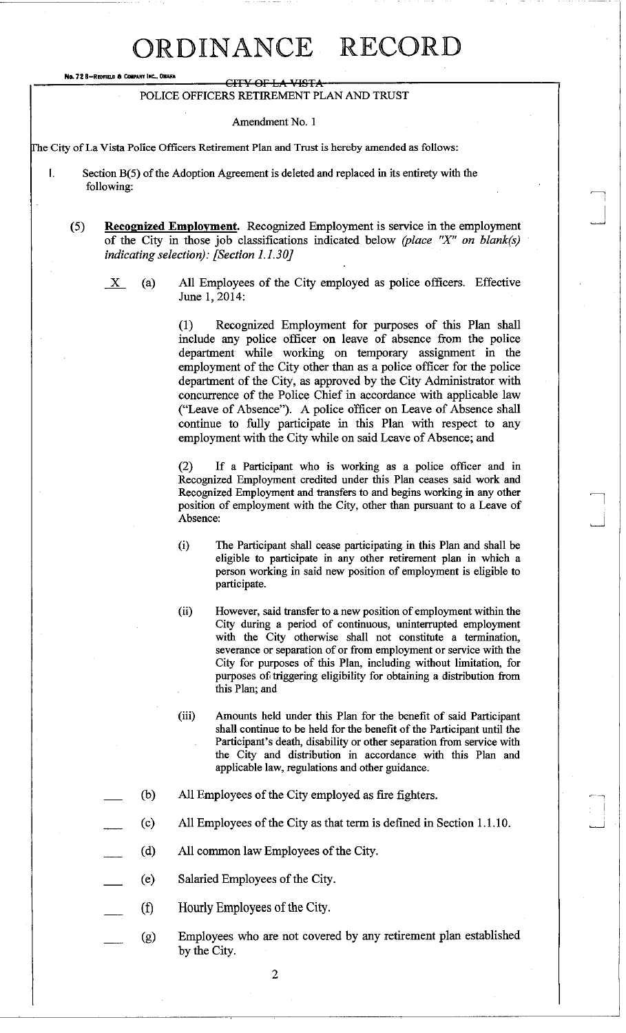No. 72 B-REDFIELD & COMPANY INC.

#### CITY OF LA VISTA POLICE OFFICERS RETIREMENT PLAN AND TRUST

### Amendment No. 1

Fhe City of La Vista Police Officers Retirement Plan and Trust is hereby amended as follows:

- I. Section B(5) of the Adoption Agreement is deleted and replaced in its entirety with the following:
	- (5) **Recognized Employment.** Recognized Employment is service in the employment of the City in those job classifications indicated below *(place "X" on blank(s) indicating selection): [Section 1.1.30]* 
		- $X$  (a) All Employees of the City employed as police officers. Effective June 1, 2014:

(1) Recognized Employment for purposes of this Plan shall include any police officer on leave of absence from the police department while working on temporary assignment in the employment of the City other than as a police officer for the police department of the City, as approved by the City Administrator with concurrence of the Police Chief in accordance with applicable law ("Leave of Absence"). A police officer on Leave of Absence shall continue to fully participate in this Plan with respect to any employment with the City while on said Leave of Absence; and

(2) If a Participant who is working as a police officer and in Recognized Employment credited under this Plan ceases said work and Recognized Employment and transfers to and begins working in any other position of employment with the City, other than pursuant to a Leave of Absence:

- (i) The Participant shall cease participating in this Plan and shall be eligible to participate in any other retirement plan in which a person working in said new position of employment is eligible to participate.
- $(ii)$ However, said transfer to a new position of employment within the City during a period of continuous, uninterrupted employment with the City otherwise shall not constitute a termination, severance or separation of or from employment or service with the City for purposes of this Plan, including without limitation, for purposes of triggering eligibility for obtaining a distribution from this Plan; and
- (iii) Amounts held under this Plan for the benefit of said Participant shall continue to be held for the benefit of the Participant until the Participant's death, disability or other separation from service with the City and distribution in accordance with this Plan and applicable law, regulations and other guidance.
- (b) All Employees of the City employed as fire fighters.
- (c) All Employees of the City as that term is defined in Section 1.1.10.
- (d) All common law Employees of the City.
- (e) Salaried Employees of the City.
- (f) Hourly Employees of the City.
	- (g) Employees who are not covered by any retirement plan established by the City.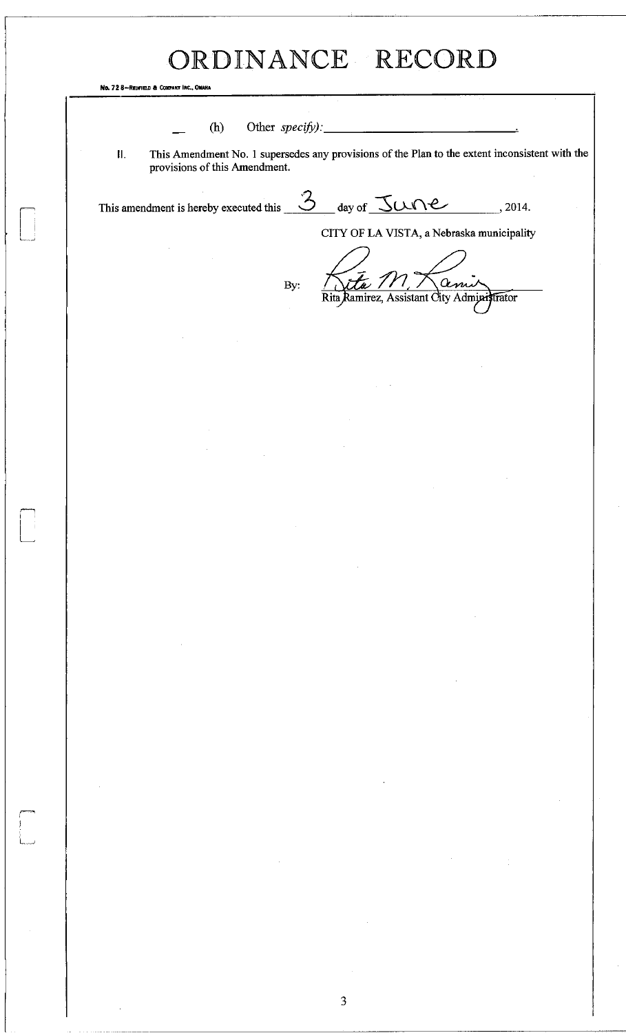No. 72 8-Redfield & Company In

(h) Other *specify*):

II. This Amendment No. 1 supersedes any provisions of the Plan to the extent inconsistent with the provisions of this Amendment.

This amendment is hereby executed this  $\frac{3}{2}$  day of  $\frac{3}{2}$  day  $\frac{3}{2}$ . 2014.

CITY OF LA VISTA, a Nebraska municipality

ami

Rita Ramirez, Assistant Gity Administrator

By:

 $\overline{\mathbf{3}}$